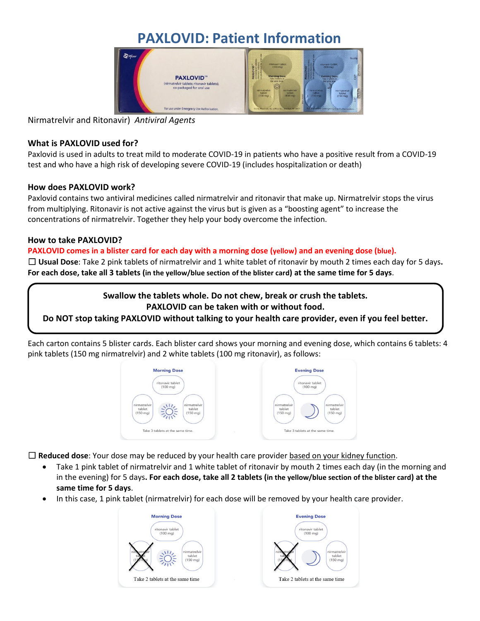# **PAXLOVID: Patient Information**



Nirmatrelvir and Ritonavir) *Antiviral Agents*

#### **What is PAXLOVID used for?**

Paxlovid is used in adults to treat mild to moderate COVID-19 in patients who have a positive result from a COVID-19 test and who have a high risk of developing severe COVID-19 (includes hospitalization or death)

## **How does PAXLOVID work?**

Paxlovid contains two antiviral medicines called nirmatrelvir and ritonavir that make up. Nirmatrelvir stops the virus from multiplying. Ritonavir is not active against the virus but is given as a "boosting agent" to increase the concentrations of nirmatrelvir. Together they help your body overcome the infection.

## **How to take PAXLOVID?**

## **PAXLOVID comes in a blister card for each day with a morning dose (yellow) and an evening dose (blue).**

☐ **Usual Dose**: Take 2 pink tablets of nirmatrelvir and 1 white tablet of ritonavir by mouth 2 times each day for 5 days**. For each dose, take all 3 tablets (in the yellow/blue section of the blister card) at the same time for 5 days**.

> **Swallow the tablets whole. Do not chew, break or crush the tablets. PAXLOVID can be taken with or without food.**

**Do NOT stop taking PAXLOVID without talking to your health care provider, even if you feel better.**

Each carton contains 5 blister cards. Each blister card shows your morning and evening dose, which contains 6 tablets: 4 pink tablets (150 mg nirmatrelvir) and 2 white tablets (100 mg ritonavir), as follows:



☐ **Reduced dose**: Your dose may be reduced by your health care provider based on your kidney function.

- Take 1 pink tablet of nirmatrelvir and 1 white tablet of ritonavir by mouth 2 times each day (in the morning and in the evening) for 5 days**. For each dose, take all 2 tablets (in the yellow/blue section of the blister card) at the same time for 5 days**.
- In this case, 1 pink tablet (nirmatrelvir) for each dose will be removed by your health care provider.